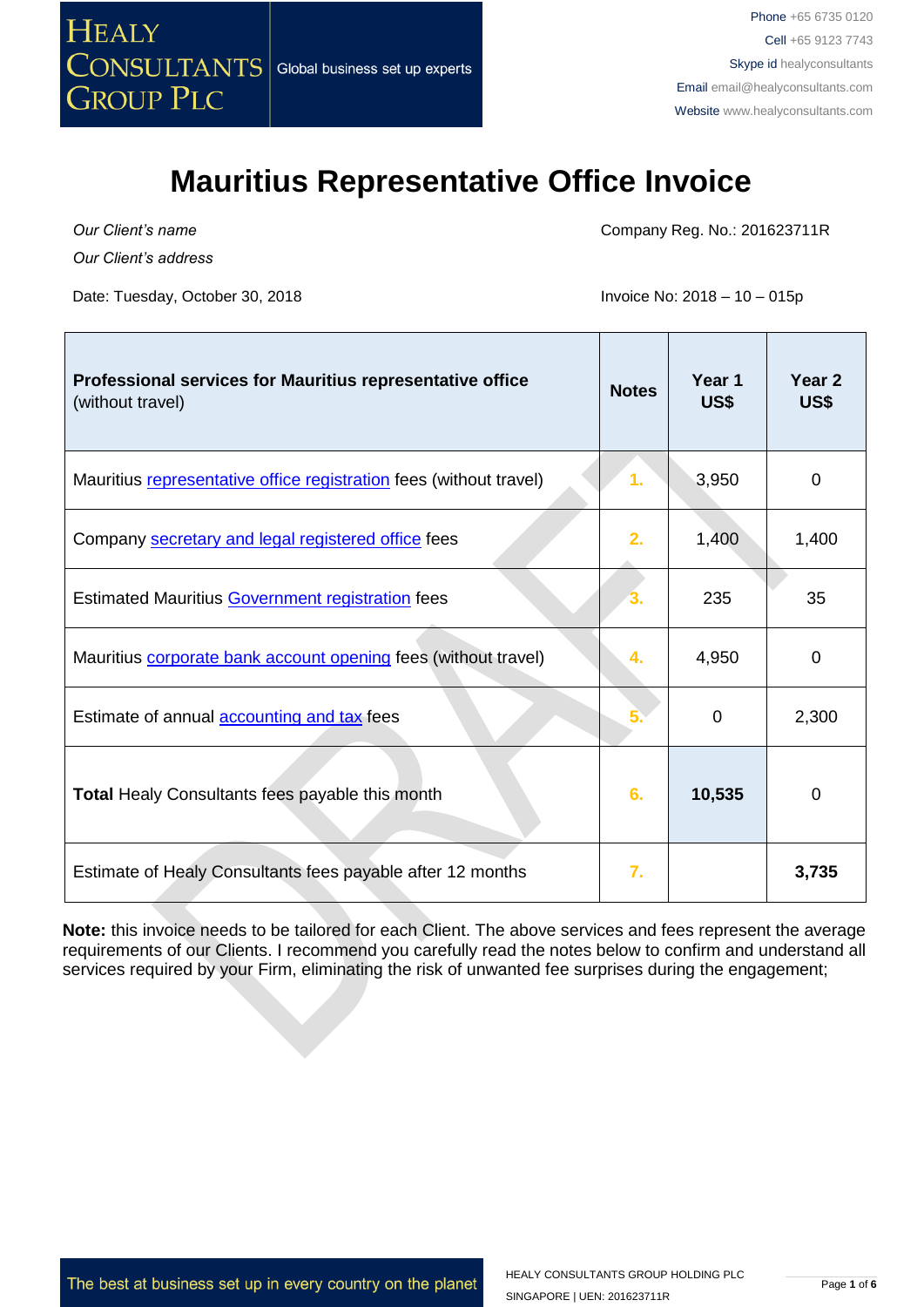

*Our Client's name*

*Our Client's address*

Date: Tuesday, October 30, 2018 **Invoice No: 2018** - 10 – 015p

Company Reg. No.: 201623711R

<u> Tanzania (</u>

<u> Timburgiya</u>

| Professional services for Mauritius representative office<br>(without travel) | <b>Notes</b> | Year <sub>1</sub><br>US\$ | Year <sub>2</sub><br>US\$ |
|-------------------------------------------------------------------------------|--------------|---------------------------|---------------------------|
| Mauritius representative office registration fees (without travel)            | 1.           | 3,950                     | $\mathbf 0$               |
| Company secretary and legal registered office fees                            | 2.           | 1,400                     | 1,400                     |
| <b>Estimated Mauritius Government registration fees</b>                       |              | 235                       | 35                        |
| Mauritius corporate bank account opening fees (without travel)                | 4.           | 4,950                     | 0                         |
| Estimate of annual <b>accounting and tax</b> fees                             |              | 0                         | 2,300                     |
| Total Healy Consultants fees payable this month                               | 6.           | 10,535                    | 0                         |
| Estimate of Healy Consultants fees payable after 12 months                    | 7.           |                           | 3,735                     |

**Note:** this invoice needs to be tailored for each Client. The above services and fees represent the average requirements of our Clients. I recommend you carefully read the notes below to confirm and understand all services required by your Firm, eliminating the risk of unwanted fee surprises during the engagement;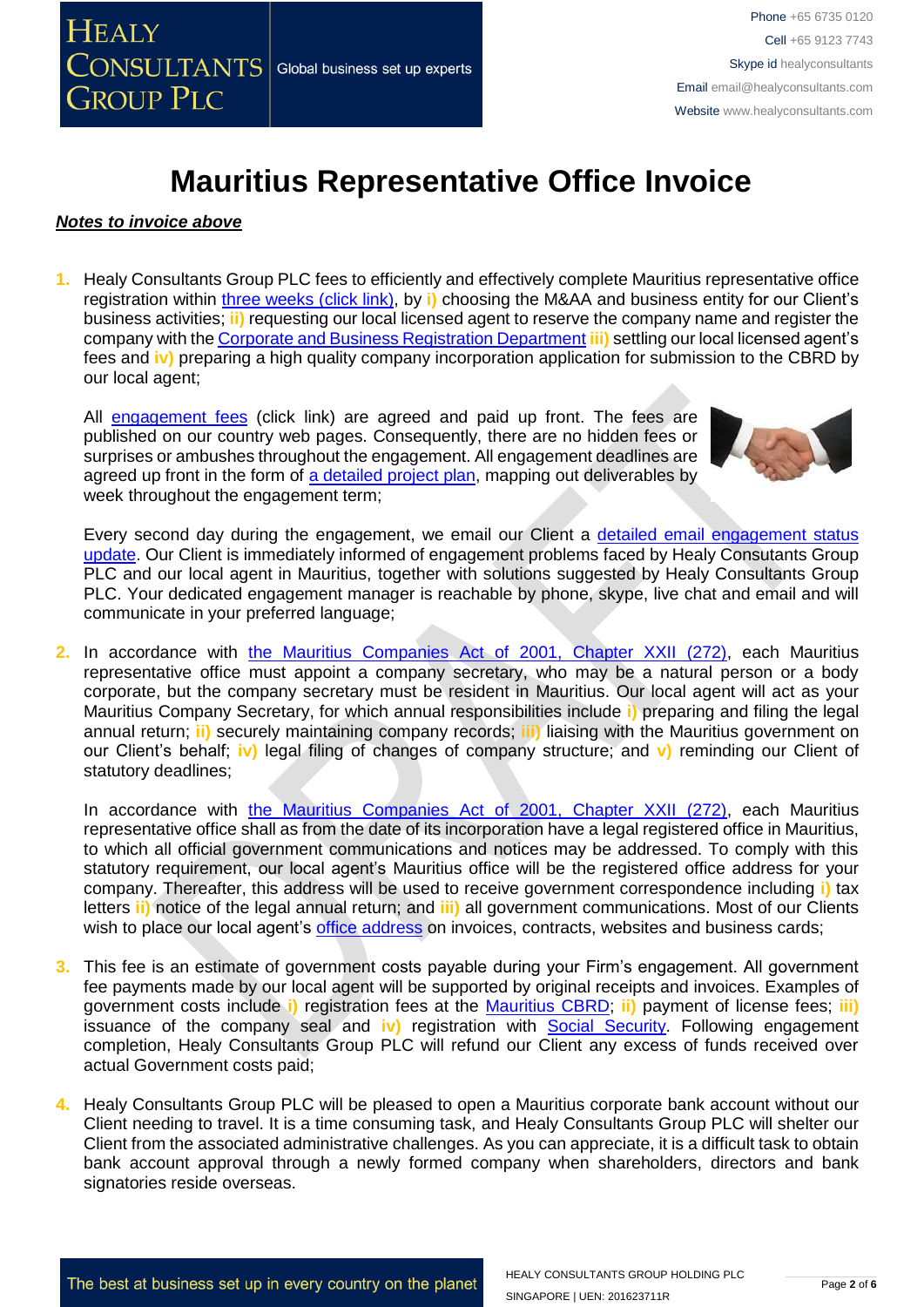#### *Notes to invoice above*

**1.** Healy Consultants Group PLC fees to efficiently and effectively complete Mauritius representative office registration within [three weeks \(click link\),](http://www.healyconsultants.com/mauritius-company-registration/fees-timelines/#timelines) by **i)** choosing the M&AA and business entity for our Client's business activities; **ii)** requesting our local licensed agent to reserve the company name and register the company with the [Corporate and Business Registration Department](http://companies.govmu.org/English/Pages/default.aspx) **iii)** settling our local licensed agent's fees and **iv)** preparing a high quality company incorporation application for submission to the CBRD by our local agent;

All [engagement fees](http://www.healyconsultants.com/company-registration-fees/) (click link) are agreed and paid up front. The fees are published on our country web pages. Consequently, there are no hidden fees or surprises or ambushes throughout the engagement. All engagement deadlines are agreed up front in the form of [a detailed project plan,](http://www.healyconsultants.com/index-important-links/example-project-plan/) mapping out deliverables by week throughout the engagement term;



Every second day during the engagement, we email our Client a [detailed email engagement status](http://www.healyconsultants.com/index-important-links/weekly-engagement-status-email/)  [update.](http://www.healyconsultants.com/index-important-links/weekly-engagement-status-email/) Our Client is immediately informed of engagement problems faced by Healy Consutants Group PLC and our local agent in Mauritius, together with solutions suggested by Healy Consultants Group PLC. Your dedicated engagement manager is reachable by phone, skype, live chat and email and will communicate in your preferred language;

2. In accordance with the Mauritius [Companies Act of 2001, Chapter XXII \(272\),](http://companies.govmu.org/English/Legislation/Documents/2001/CompaniesAct070115.pdf) each Mauritius representative office must appoint a company secretary, who may be a natural person or a body corporate, but the company secretary must be resident in Mauritius. Our local agent will act as your Mauritius Company Secretary, for which annual responsibilities include **i)** preparing and filing the legal annual return; **ii)** securely maintaining company records; **iii)** liaising with the Mauritius government on our Client's behalf; **iv)** legal filing of changes of company structure; and **v)** reminding our Client of statutory deadlines;

In accordance with the Mauritius [Companies Act of 2001, Chapter XXII \(272\),](http://companies.govmu.org/English/Legislation/Documents/2001/CompaniesAct070115.pdf) each Mauritius representative office shall as from the date of its incorporation have a legal registered office in Mauritius, to which all official government communications and notices may be addressed. To comply with this statutory requirement, our local agent's Mauritius office will be the registered office address for your company. Thereafter, this address will be used to receive government correspondence including **i)** tax letters **ii)** notice of the legal annual return; and **iii)** all government communications. Most of our Clients wish to place our local agent's [office address](http://www.healyconsultants.com/corporate-outsourcing-services/company-secretary-and-legal-registered-office/) on invoices, contracts, websites and business cards;

- **3.** This fee is an estimate of government costs payable during your Firm's engagement. All government fee payments made by our local agent will be supported by original receipts and invoices. Examples of government costs include **i)** registration fees at the [Mauritius CBRD;](http://companies.govmu.org/English/Pages/default.aspx) **ii)** payment of license fees; **iii)** issuance of the company seal and **iv)** registration with [Social Security.](http://socialsecurity.govmu.org/English/Pages/default.aspx) Following engagement completion, Healy Consultants Group PLC will refund our Client any excess of funds received over actual Government costs paid;
- **4.** Healy Consultants Group PLC will be pleased to open a Mauritius corporate bank account without our Client needing to travel. It is a time consuming task, and Healy Consultants Group PLC will shelter our Client from the associated administrative challenges. As you can appreciate, it is a difficult task to obtain bank account approval through a newly formed company when shareholders, directors and bank signatories reside overseas.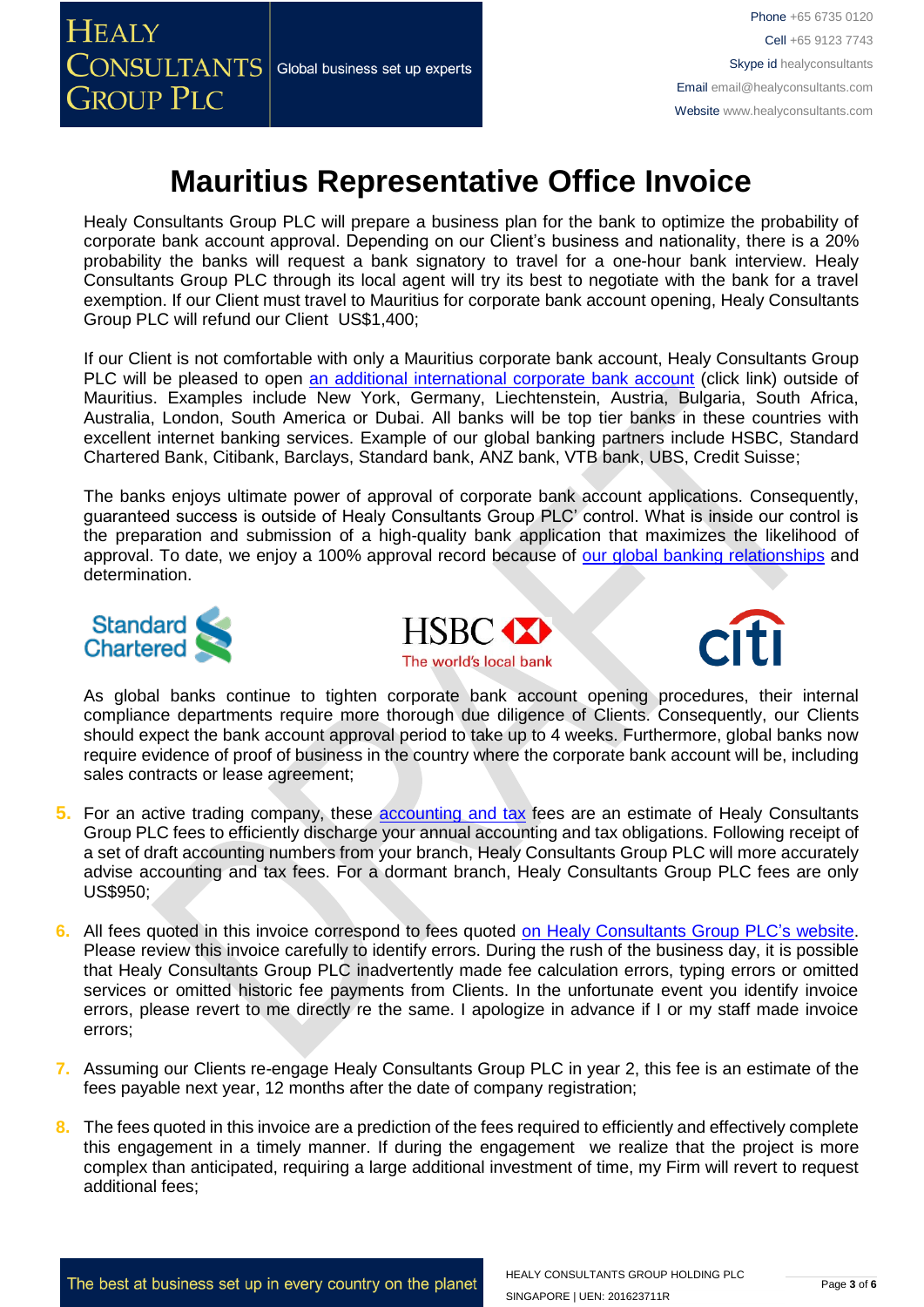

Phone +65 6735 0120 Cell +65 9123 7743 Skype id healyconsultants Email [email@healyconsultants.com](mailto:EMAIL@HEALYCONSULTANTS.COM) Website [www.healyconsultants.com](http://www.healyconsultants.com/)

### **Mauritius Representative Office Invoice**

Healy Consultants Group PLC will prepare a business plan for the bank to optimize the probability of corporate bank account approval. Depending on our Client's business and nationality, there is a 20% probability the banks will request a bank signatory to travel for a one-hour bank interview. Healy Consultants Group PLC through its local agent will try its best to negotiate with the bank for a travel exemption. If our Client must travel to Mauritius for corporate bank account opening, Healy Consultants Group PLC will refund our Client US\$1,400;

If our Client is not comfortable with only a Mauritius corporate bank account, Healy Consultants Group PLC will be pleased to open [an additional international corporate bank account](http://www.healyconsultants.com/international-banking/) (click link) outside of Mauritius. Examples include New York, Germany, Liechtenstein, Austria, Bulgaria, South Africa, Australia, London, South America or Dubai. All banks will be top tier banks in these countries with excellent internet banking services. Example of our global banking partners include HSBC, Standard Chartered Bank, Citibank, Barclays, Standard bank, ANZ bank, VTB bank, UBS, Credit Suisse;

The banks enjoys ultimate power of approval of corporate bank account applications. Consequently, guaranteed success is outside of Healy Consultants Group PLC' control. What is inside our control is the preparation and submission of a high-quality bank application that maximizes the likelihood of approval. To date, we enjoy a 100% approval record because of [our global banking relationships](http://www.healyconsultants.com/international-banking/corporate-accounts/) and determination.







As global banks continue to tighten corporate bank account opening procedures, their internal compliance departments require more thorough due diligence of Clients. Consequently, our Clients should expect the bank account approval period to take up to 4 weeks. Furthermore, global banks now require evidence of proof of business in the country where the corporate bank account will be, including sales contracts or lease agreement;

- **5.** For an active trading company, these [accounting and tax](http://www.healyconsultants.com/mauritius-company-registration/accounting-legal/) fees are an estimate of Healy Consultants Group PLC fees to efficiently discharge your annual accounting and tax obligations. Following receipt of a set of draft accounting numbers from your branch, Healy Consultants Group PLC will more accurately advise accounting and tax fees. For a dormant branch, Healy Consultants Group PLC fees are only US\$950;
- **6.** All fees quoted in this invoice correspond to fees quoted [on Healy Consultants Group PLC's](http://www.healyconsultants.com/company-registration-fees/) website. Please review this invoice carefully to identify errors. During the rush of the business day, it is possible that Healy Consultants Group PLC inadvertently made fee calculation errors, typing errors or omitted services or omitted historic fee payments from Clients. In the unfortunate event you identify invoice errors, please revert to me directly re the same. I apologize in advance if I or my staff made invoice errors;
- **7.** Assuming our Clients re-engage Healy Consultants Group PLC in year 2, this fee is an estimate of the fees payable next year, 12 months after the date of company registration;
- **8.** The fees quoted in this invoice are a prediction of the fees required to efficiently and effectively complete this engagement in a timely manner. If during the engagement we realize that the project is more complex than anticipated, requiring a large additional investment of time, my Firm will revert to request additional fees;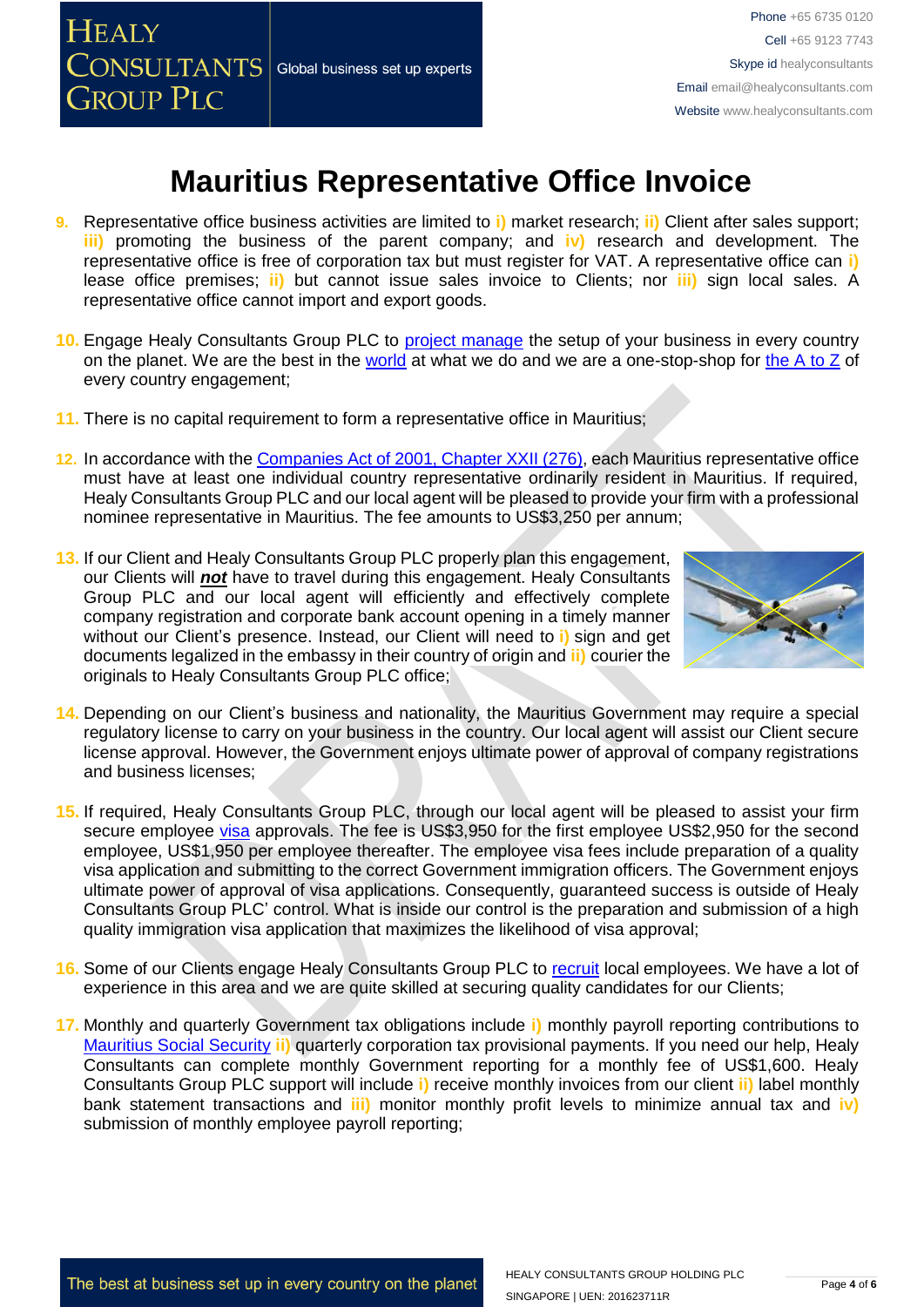

Phone +65 6735 0120 Cell +65 9123 7743 Skype id healyconsultants Email [email@healyconsultants.com](mailto:EMAIL@HEALYCONSULTANTS.COM) Website [www.healyconsultants.com](http://www.healyconsultants.com/)

## **Mauritius Representative Office Invoice**

- **9.** Representative office business activities are limited to **i)** market research; **ii)** Client after sales support; **iii)** promoting the business of the parent company; and **iv)** research and development. The representative office is free of corporation tax but must register for VAT. A representative office can **i)**  lease office premises; **ii)** but cannot issue sales invoice to Clients; nor **iii)** sign local sales. A representative office cannot import and export goods.
- **10.** Engage Healy Consultants Group PLC to [project manage](http://www.healyconsultants.com/project-manage-engagements/) the setup of your business in every country on the planet. We are the best in the [world](http://www.healyconsultants.com/best-in-the-world/) at what we do and we are a one-stop-shop for the  $A$  to  $Z$  of every country engagement;
- **11.** There is no capital requirement to form a representative office in Mauritius;
- **12.** In accordance with the [Companies Act of 2001, Chapter XXII \(276\),](http://companies.govmu.org/English/Legislation/Documents/2001/CompaniesAct070115.pdf) each Mauritius representative office must have at least one individual country representative ordinarily resident in Mauritius. If required, Healy Consultants Group PLC and our local agent will be pleased to provide your firm with a professional nominee representative in Mauritius. The fee amounts to US\$3,250 per annum;
- **13.** If our Client and Healy Consultants Group PLC properly plan this engagement, our Clients will *not* have to travel during this engagement. Healy Consultants Group PLC and our local agent will efficiently and effectively complete company registration and corporate bank account opening in a timely manner without our Client's presence. Instead, our Client will need to **i)** sign and get documents legalized in the embassy in their country of origin and **ii)** courier the originals to Healy Consultants Group PLC office;



- **14.** Depending on our Client's business and nationality, the Mauritius Government may require a special regulatory license to carry on your business in the country. Our local agent will assist our Client secure license approval. However, the Government enjoys ultimate power of approval of company registrations and business licenses;
- **15.** If required, Healy Consultants Group PLC, through our local agent will be pleased to assist your firm secure employee [visa](http://www.healyconsultants.com/mauritius-company-registration/formation-support-services/) approvals. The fee is US\$3,950 for the first employee US\$2,950 for the second employee, US\$1,950 per employee thereafter. The employee visa fees include preparation of a quality visa application and submitting to the correct Government immigration officers. The Government enjoys ultimate power of approval of visa applications. Consequently, guaranteed success is outside of Healy Consultants Group PLC' control. What is inside our control is the preparation and submission of a high quality immigration visa application that maximizes the likelihood of visa approval;
- **16.** Some of our Clients engage Healy Consultants Group PLC to [recruit](http://www.healyconsultants.com/corporate-outsourcing-services/how-we-help-our-clients-recruit-quality-employees/) local employees. We have a lot of experience in this area and we are quite skilled at securing quality candidates for our Clients;
- **17.** Monthly and quarterly Government tax obligations include **i)** monthly payroll reporting contributions to [Mauritius Social Security](file:///D:/AppData/Local/Microsoft/Windows/INetCache/Content.Outlook/XRFLDTO1/socialsecurity.gov.mu/) **ii)** quarterly corporation tax provisional payments. If you need our help, Healy Consultants can complete monthly Government reporting for a monthly fee of US\$1,600. Healy Consultants Group PLC support will include **i)** receive monthly invoices from our client **ii)** label monthly bank statement transactions and **iii)** monitor monthly profit levels to minimize annual tax and **iv)** submission of monthly employee payroll reporting;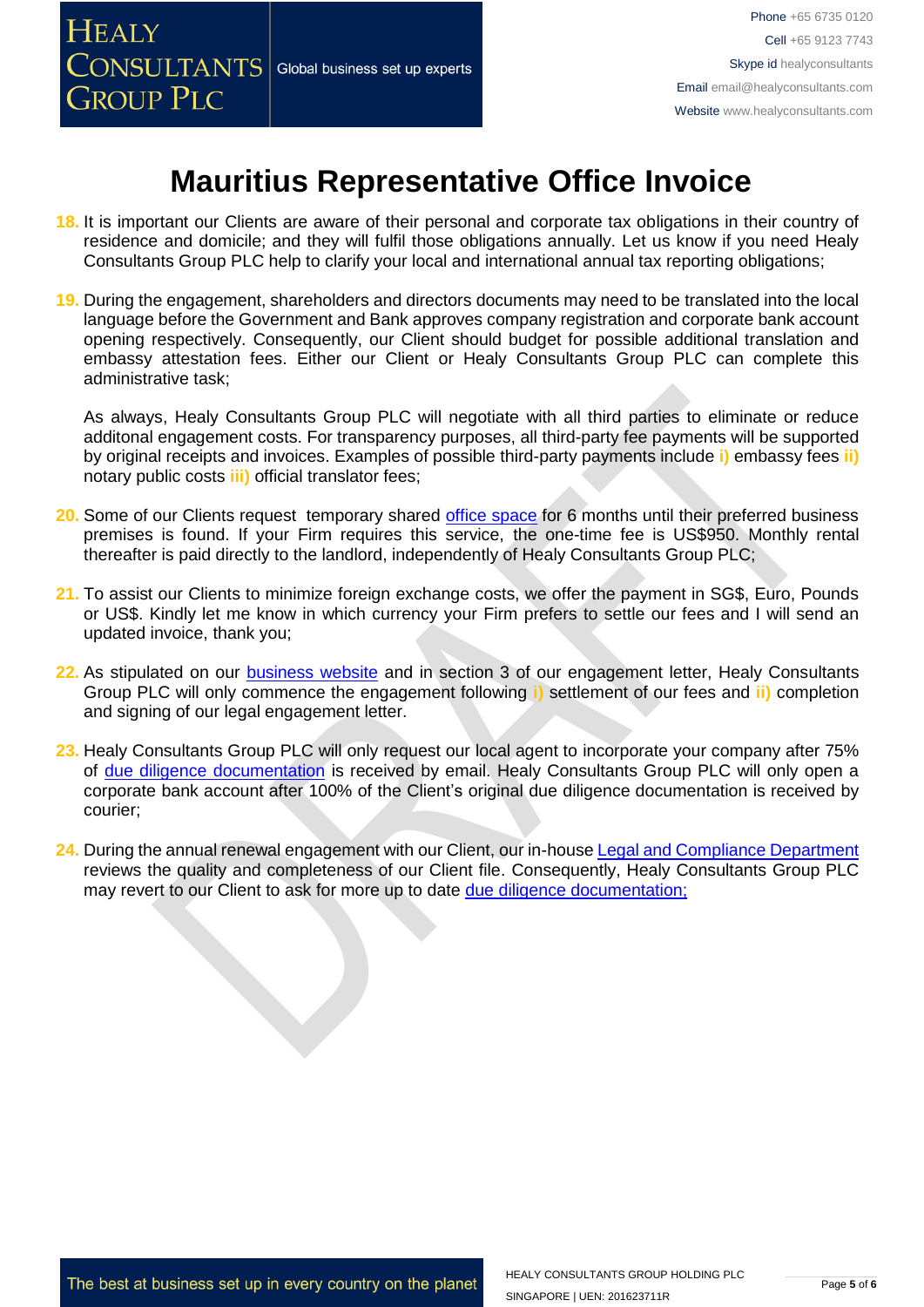

- **18.** It is important our Clients are aware of their personal and corporate tax obligations in their country of residence and domicile; and they will fulfil those obligations annually. Let us know if you need Healy Consultants Group PLC help to clarify your local and international annual tax reporting obligations;
- **19.** During the engagement, shareholders and directors documents may need to be translated into the local language before the Government and Bank approves company registration and corporate bank account opening respectively. Consequently, our Client should budget for possible additional translation and embassy attestation fees. Either our Client or Healy Consultants Group PLC can complete this administrative task;

As always, Healy Consultants Group PLC will negotiate with all third parties to eliminate or reduce additonal engagement costs. For transparency purposes, all third-party fee payments will be supported by original receipts and invoices. Examples of possible third-party payments include **i)** embassy fees **ii)** notary public costs **iii)** official translator fees;

- **20.** Some of our Clients request temporary shared [office space](http://www.healyconsultants.com/virtual-office/) for 6 months until their preferred business premises is found. If your Firm requires this service, the one-time fee is US\$950. Monthly rental thereafter is paid directly to the landlord, independently of Healy Consultants Group PLC;
- **21.** To assist our Clients to minimize foreign exchange costs, we offer the payment in SG\$, Euro, Pounds or US\$. Kindly let me know in which currency your Firm prefers to settle our fees and I will send an updated invoice, thank you;
- **22.** As stipulated on our [business website](http://www.healyconsultants.com/) and in section 3 of our engagement letter, Healy Consultants Group PLC will only commence the engagement following **i)** settlement of our fees and **ii)** completion and signing of our legal engagement letter.
- **23.** Healy Consultants Group PLC will only request our local agent to incorporate your company after 75% of [due diligence documentation](http://www.healyconsultants.com/due-diligence/) is received by email. Healy Consultants Group PLC will only open a corporate bank account after 100% of the Client's original due diligence documentation is received by courier;
- 24. During the annual renewal engagement with our Client, our in-house [Legal and Compliance Department](http://www.healyconsultants.com/about-us/key-personnel/cai-xin-profile/) reviews the quality and completeness of our Client file. Consequently, Healy Consultants Group PLC may revert to our Client to ask for more up to date [due diligence documentation;](http://www.healyconsultants.com/due-diligence/)